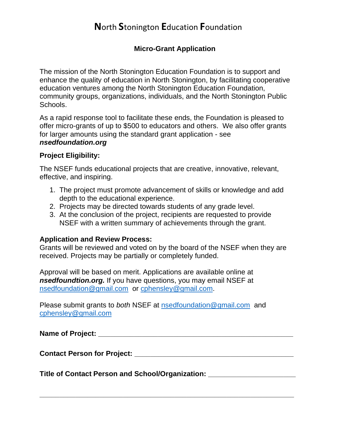## **N**orth **S**tonington **E**ducation **F**oundation

#### **Micro-Grant Application**

The mission of the North Stonington Education Foundation is to support and enhance the quality of education in North Stonington, by facilitating cooperative education ventures among the North Stonington Education Foundation, community groups, organizations, individuals, and the North Stonington Public Schools.

As a rapid response tool to facilitate these ends, the Foundation is pleased to offer micro-grants of up to \$500 to educators and others. We also offer grants for larger amounts using the standard grant application - see

### *nsedfoundation.org*

#### **Project Eligibility:**

The NSEF funds educational projects that are creative, innovative, relevant, effective, and inspiring.

- 1. The project must promote advancement of skills or knowledge and add depth to the educational experience.
- 2. Projects may be directed towards students of any grade level.
- 3. At the conclusion of the project, recipients are requested to provide NSEF with a written summary of achievements through the grant.

#### **Application and Review Process:**

Grants will be reviewed and voted on by the board of the NSEF when they are received. Projects may be partially or completely funded.

Approval will be based on merit. Applications are available online at *nsedfoundtion.org.* If you have questions, you may email NSEF at [nsedfoundation@gmail.com](mailto:nsedfoundation@gmail.com) or [cphensley@gmail.com.](mailto:cphensley@gmail.com)

Please submit grants to *both* NSEF at [nsedfoundation@gmail.com](mailto:nsedfoundation@gmail.com) and [cphensley@gmail.com](mailto:cphensley@gmail.com)

**Name of Project:**  $\blacksquare$ 

**\_\_\_\_\_\_\_\_\_\_\_\_\_\_\_\_\_\_\_\_\_\_\_\_\_\_\_\_\_\_\_\_\_\_\_\_\_\_\_\_\_\_\_\_\_\_\_\_\_\_\_\_\_\_\_\_\_\_\_\_\_\_\_\_**

**Contact Person for Project: \_\_\_\_\_\_\_\_\_\_\_\_\_\_\_\_\_\_\_\_\_\_\_\_\_\_\_\_\_\_\_\_\_\_\_\_\_\_\_\_**

**Title of Contact Person and School/Organization: \_\_\_\_\_\_\_\_\_\_\_\_\_\_\_\_\_\_\_\_\_\_**